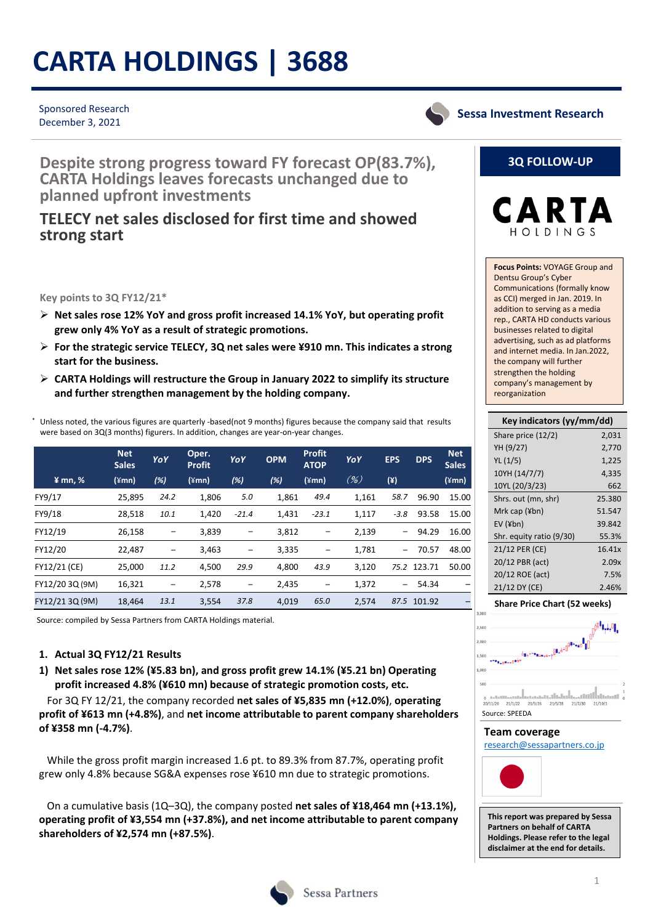# **CARTA HOLDINGS | 3688**

#### Sponsored Research December 3, 2021

**Sessa Investment Research**

**Despite strong progress toward FY forecast OP(83.7%), CARTA Holdings leaves forecasts unchanged due to planned upfront investments**

## **TELECY net sales disclosed for first time and showed strong start**

**Key points to 3Q FY12/21\***

- **Net sales rose 12% YoY and gross profit increased 14.1% YoY, but operating profit grew only 4% YoY as a result of strategic promotions.**
- **For the strategic service TELECY, 3Q net sales were ¥910 mn. This indicates a strong start for the business.**
- **CARTA Holdings will restructure the Group in January 2022 to simplify its structure and further strengthen management by the holding company.**

Unless noted, the various figures are quarterly -based(not 9 months) figures because the company said that results were based on 3Q(3 months) figurers. In addition, changes are year-on-year changes.

|                     | <b>Net</b><br><b>Sales</b> | YoY  | Oper.<br><b>Profit</b> | YoY               | <b>OPM</b> | <b>Profit</b><br><b>ATOP</b> | YoY   | <b>EPS</b>        | <b>DPS</b>  | <b>Net</b><br><b>Sales</b> |
|---------------------|----------------------------|------|------------------------|-------------------|------------|------------------------------|-------|-------------------|-------------|----------------------------|
| $\frac{2}{3}$ mn, % | $(\text{\texttt{4mn}})$    | (%)  | $(\angle mn)$          | (%)               | (%)        | (¥mn)                        | (% )  | (Y)               |             | $(\text{4mn})$             |
| FY9/17              | 25,895                     | 24.2 | 1,806                  | 5.0               | 1,861      | 49.4                         | 1,161 | 58.7              | 96.90       | 15.00                      |
| FY9/18              | 28,518                     | 10.1 | 1,420                  | $-21.4$           | 1,431      | $-23.1$                      | 1,117 | $-3.8$            | 93.58       | 15.00                      |
| FY12/19             | 26,158                     |      | 3,839                  |                   | 3,812      | -                            | 2,139 | -                 | 94.29       | 16.00                      |
| FY12/20             | 22,487                     |      | 3,463                  | $\qquad \qquad -$ | 3,335      | -                            | 1,781 |                   | 70.57       | 48.00                      |
| FY12/21 (CE)        | 25,000                     | 11.2 | 4,500                  | 29.9              | 4,800      | 43.9                         | 3,120 |                   | 75.2 123.71 | 50.00                      |
| FY12/20 3Q (9M)     | 16,321                     |      | 2,578                  |                   | 2,435      | $\qquad \qquad -$            | 1,372 | $\qquad \qquad -$ | 54.34       | -                          |
| FY12/21 3Q (9M)     | 18,464                     | 13.1 | 3,554                  | 37.8              | 4,019      | 65.0                         | 2,574 |                   | 87.5 101.92 |                            |

Source: compiled by Sessa Partners from CARTA Holdings material.

#### **1. Actual 3Q FY12/21 Results**

**1) Net sales rose 12% (¥5.83 bn), and gross profit grew 14.1% (¥5.21 bn) Operating profit increased 4.8% (¥610 mn) because of strategic promotion costs, etc.**

For 3Q FY 12/21, the company recorded **net sales of ¥5,835 mn (+12.0%)**, **operating profit of ¥613 mn (+4.8%)**, and **net income attributable to parent company shareholders of ¥358 mn (‐4.7%)**.

While the gross profit margin increased 1.6 pt. to 89.3% from 87.7%, operating profit grew only 4.8% because SG&A expenses rose ¥610 mn due to strategic promotions.

On a cumulative basis (1Q–3Q), the company posted **net sales of ¥18,464 mn (+13.1%), operating profit of ¥3,554 mn (+37.8%), and net income attributable to parent company shareholders of ¥2,574 mn (+87.5%)**.



### **3Q FOLLOW‐UP**



**Focus Points:** VOYAGE Group and Dentsu Group's Cyber Communications (formally know as CCI) merged in Jan. 2019. In addition to serving as a media rep., CARTA HD conducts various businesses related to digital advertising, such as ad platforms and internet media. In Jan.2022, the company will further strengthen the holding company's management by reorganization

| Key indicators (yy/mm/dd) |        |  |  |  |  |  |  |
|---------------------------|--------|--|--|--|--|--|--|
| Share price (12/2)        | 2,031  |  |  |  |  |  |  |
| YH (9/27)                 | 2,770  |  |  |  |  |  |  |
| YL(1/5)                   | 1,225  |  |  |  |  |  |  |
| 10YH (14/7/7)             | 4,335  |  |  |  |  |  |  |
| 10YL (20/3/23)            | 662    |  |  |  |  |  |  |
| Shrs. out (mn, shr)       | 25.380 |  |  |  |  |  |  |
| Mrk cap $(\nexists b)$    | 51.547 |  |  |  |  |  |  |
| $EV$ (¥bn)                | 39.842 |  |  |  |  |  |  |
| Shr. equity ratio (9/30)  | 55.3%  |  |  |  |  |  |  |
| 21/12 PER (CE)            | 16.41x |  |  |  |  |  |  |
| 20/12 PBR (act)           | 2.09x  |  |  |  |  |  |  |
| 20/12 ROE (act)           | 7.5%   |  |  |  |  |  |  |
| 21/12 DY (CE)             | 2.46%  |  |  |  |  |  |  |





#### **Team coverage**

research@sessapartners.co.jp



**This report was prepared by Sessa Partners on behalf of CARTA Holdings. Please refer to the legal disclaimer at the end for details.**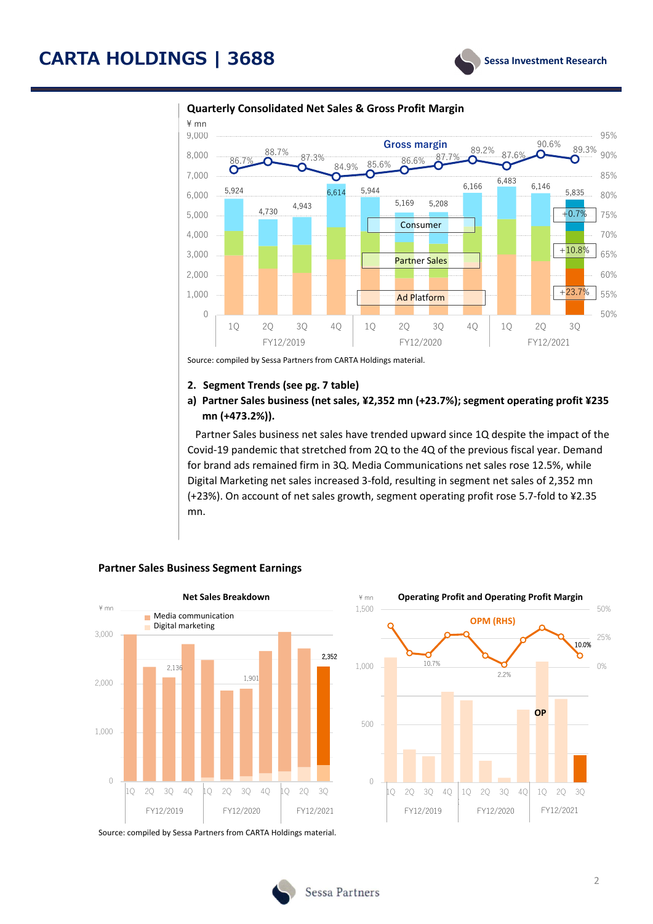

#### **Quarterly Consolidated Net Sales & Gross Profit Margin**

Source: compiled by Sessa Partners from CARTA Holdings material.

#### **2. Segment Trends (see pg. 7 table)**

#### **a) Partner Sales business (net sales, ¥2,352 mn (+23.7%); segment operating profit ¥235 mn (+473.2%)).**

Partner Sales business net sales have trended upward since 1Q despite the impact of the Covid‐19 pandemic that stretched from 2Q to the 4Q of the previous fiscal year. Demand for brand ads remained firm in 3Q. Media Communications net sales rose 12.5%, while Digital Marketing net sales increased 3‐fold, resulting in segment net sales of 2,352 mn (+23%). On account of net sales growth, segment operating profit rose 5.7‐fold to ¥2.35 mn.



#### **Partner Sales Business Segment Earnings**

Source: compiled by Sessa Partners from CARTA Holdings material.

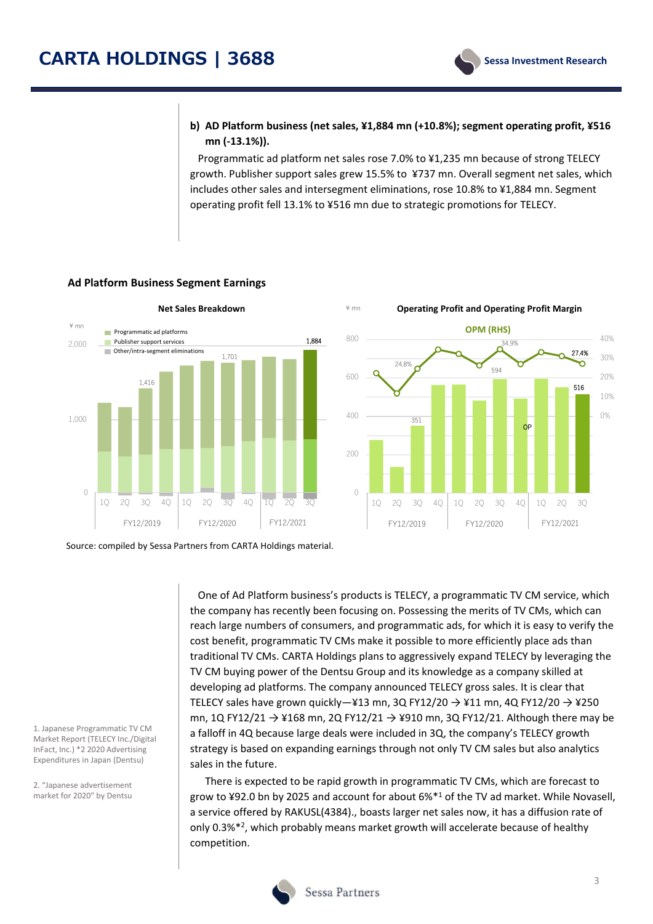#### **b) AD Platform business (net sales, ¥1,884 mn (+10.8%); segment operating profit, ¥516 mn (‐13.1%)).**

Programmatic ad platform net sales rose 7.0% to ¥1,235 mn because of strong TELECY growth. Publisher support sales grew 15.5% to ¥737 mn. Overall segment net sales, which includes other sales and intersegment eliminations, rose 10.8% to ¥1,884 mn. Segment operating profit fell 13.1% to ¥516 mn due to strategic promotions for TELECY.



#### **Ad Platform Business Segment Earnings**

**Net Sales Breakdown Operating** \ mn **Profit and Operating Profit Margin OPM (RHS)** 800 40% 34.9% 27.4% 30% 24.8% ō 594 600 20%  $1.416$  516  $\sim$  516  $\sim$  516  $\sim$  516  $\sim$  516  $\sim$  516  $\sim$  516  $\sim$  516  $\sim$  516  $\sim$  516 10% 400 0% 351 O<sub>P</sub> 200  $\bigcap$ 1Q 2Q 3Q 4Q 1Q 2Q 3Q 4Q 1Q 2Q 3Q

Source: compiled by Sessa Partners from CARTA Holdings material.

One of Ad Platform business's products is TELECY, a programmatic TV CM service, which the company has recently been focusing on. Possessing the merits of TV CMs, which can reach large numbers of consumers, and programmatic ads, for which it is easy to verify the cost benefit, programmatic TV CMs make it possible to more efficiently place ads than traditional TV CMs. CARTA Holdings plans to aggressively expand TELECY by leveraging the TV CM buying power of the Dentsu Group and its knowledge as a company skilled at developing ad platforms. The company announced TELECY gross sales. It is clear that TELECY sales have grown quickly-¥13 mn, 3Q FY12/20  $\rightarrow$  ¥11 mn, 4Q FY12/20  $\rightarrow$  ¥250 mn, 1Q FY12/21  $\rightarrow$  ¥168 mn, 2Q FY12/21  $\rightarrow$  ¥910 mn, 3Q FY12/21. Although there may be a falloff in 4Q because large deals were included in 3Q, the company's TELECY growth strategy is based on expanding earnings through not only TV CM sales but also analytics sales in the future.

There is expected to be rapid growth in programmatic TV CMs, which are forecast to grow to ¥92.0 bn by 2025 and account for about 6%\*1 of the TV ad market. While Novasell, a service offered by RAKUSL(4384)., boasts larger net sales now, it has a diffusion rate of only 0.3%\*2, which probably means market growth will accelerate because of healthy competition.

1. Japanese Programmatic TV CM Market Report (TELECY Inc./Digital InFact, Inc.) \*2 2020 Advertising Expenditures in Japan (Dentsu)

2. "Japanese advertisement market for 2020" by Dentsu

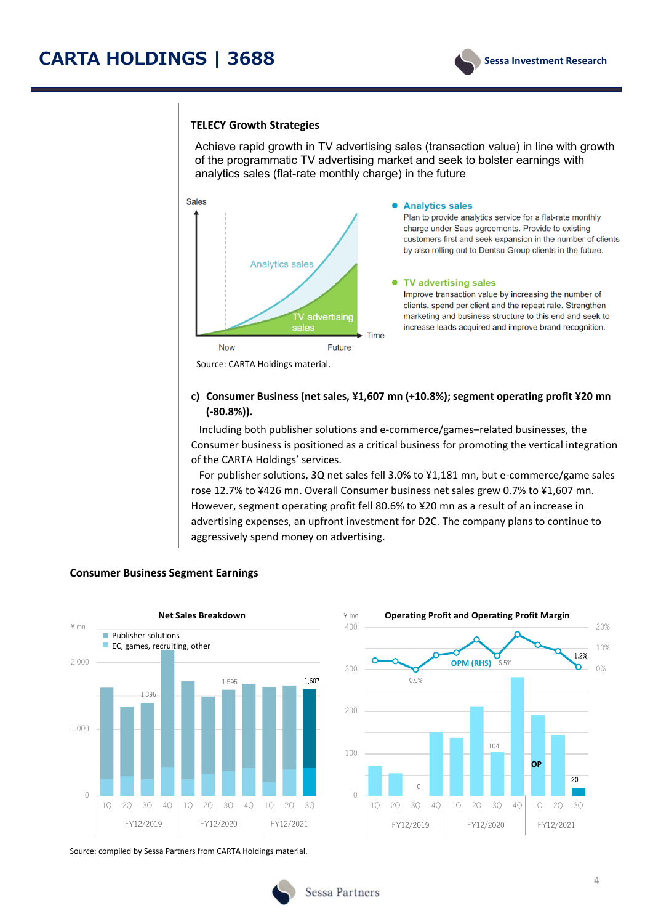#### **TELECY Growth Strategies**

Achieve rapid growth in TV advertising sales (transaction value) in line with growth of the programmatic TV advertising market and seek to bolster earnings with analytics sales (flat-rate monthly charge) in the future



#### **c) Consumer Business (net sales, ¥1,607 mn (+10.8%); segment operating profit ¥20 mn (‐80.8%)).**

Including both publisher solutions and e‐commerce/games–related businesses, the Consumer business is positioned as a critical business for promoting the vertical integration of the CARTA Holdings' services.

For publisher solutions, 3Q net sales fell 3.0% to ¥1,181 mn, but e‐commerce/game sales rose 12.7% to ¥426 mn. Overall Consumer business net sales grew 0.7% to ¥1,607 mn. However, segment operating profit fell 80.6% to ¥20 mn as a result of an increase in advertising expenses, an upfront investment for D2C. The company plans to continue to aggressively spend money on advertising.



#### **Consumer Business Segment Earnings**



Source: compiled by Sessa Partners from CARTA Holdings material.

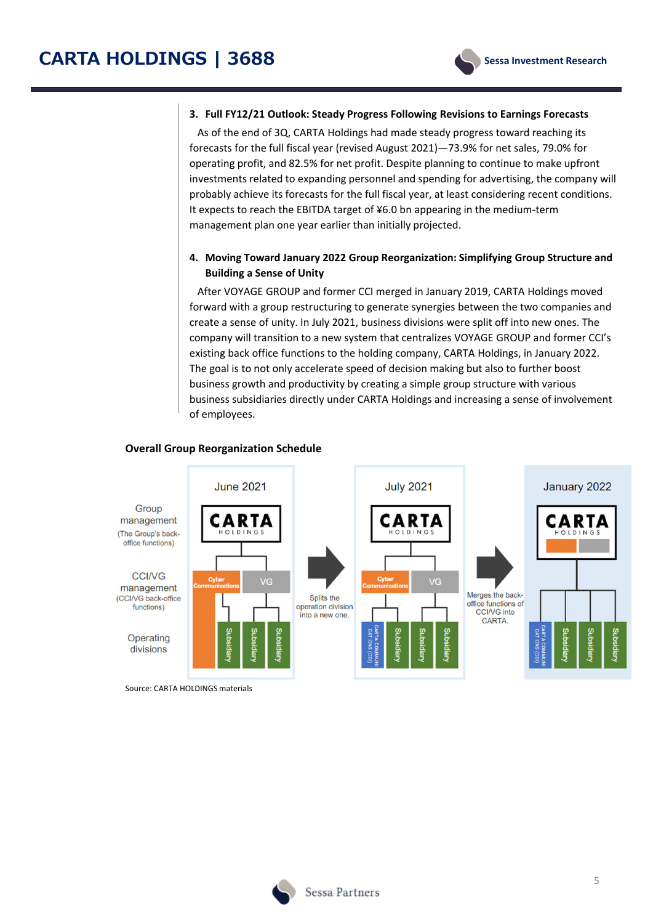

#### **3. Full FY12/21 Outlook: Steady Progress Following Revisions to Earnings Forecasts**

As of the end of 3Q, CARTA Holdings had made steady progress toward reaching its forecasts for the full fiscal year (revised August 2021)—73.9% for net sales, 79.0% for operating profit, and 82.5% for net profit. Despite planning to continue to make upfront investments related to expanding personnel and spending for advertising, the company will probably achieve its forecasts for the full fiscal year, at least considering recent conditions. It expects to reach the EBITDA target of ¥6.0 bn appearing in the medium‐term management plan one year earlier than initially projected.

#### **4. Moving Toward January 2022 Group Reorganization: Simplifying Group Structure and Building a Sense of Unity**

After VOYAGE GROUP and former CCI merged in January 2019, CARTA Holdings moved forward with a group restructuring to generate synergies between the two companies and create a sense of unity. In July 2021, business divisions were split off into new ones. The company will transition to a new system that centralizes VOYAGE GROUP and former CCI's existing back office functions to the holding company, CARTA Holdings, in January 2022. The goal is to not only accelerate speed of decision making but also to further boost business growth and productivity by creating a simple group structure with various business subsidiaries directly under CARTA Holdings and increasing a sense of involvement of employees.

#### **Overall Group Reorganization Schedule**



Source: CARTA HOLDINGS materials

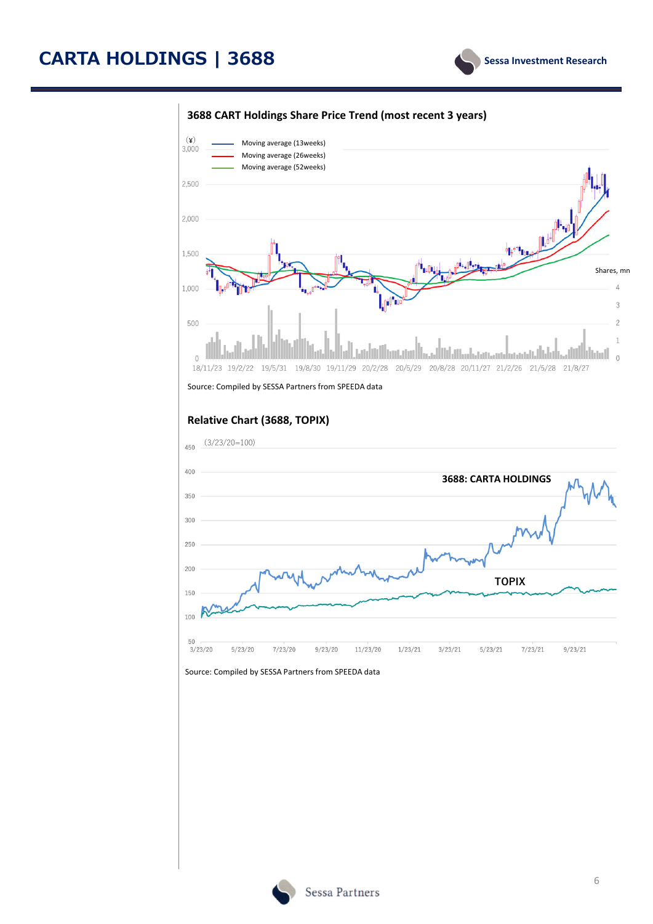# **CARTA HOLDINGS | 3688**



#### **3688 CART Holdings Share Price Trend (most recent 3 years)**



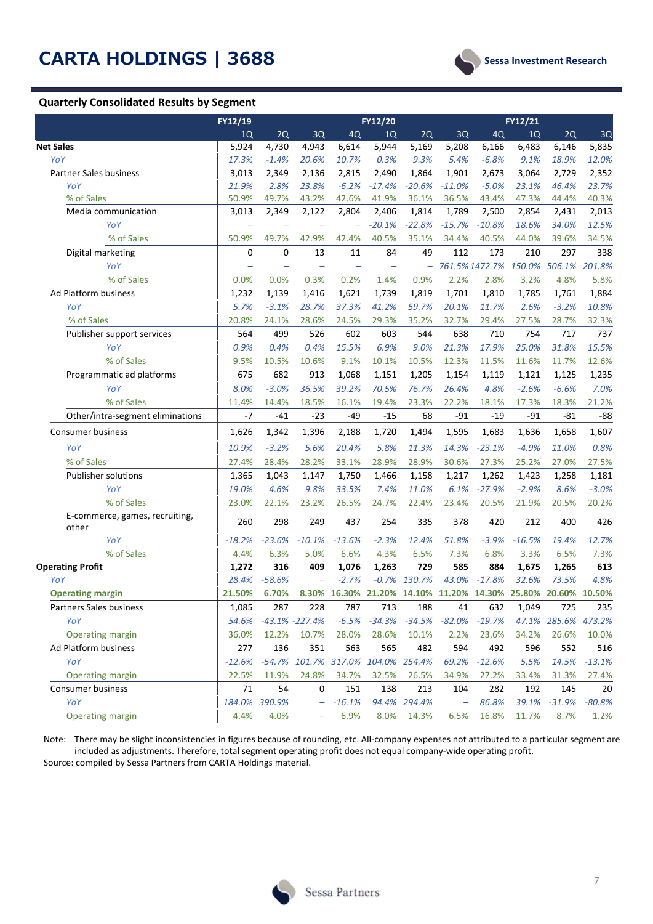#### **Quarterly Consolidated Results by Segment**



|                                  | FY12/19                  |               |                    |                      | FY12/20       |          |                          |                                                               | FY12/21  |               |          |
|----------------------------------|--------------------------|---------------|--------------------|----------------------|---------------|----------|--------------------------|---------------------------------------------------------------|----------|---------------|----------|
|                                  | 1Q                       | 2Q            | 3Q                 | 4Q                   | 1Q            | 2Q       | 3Q                       | 4Q                                                            | 1Q       | 2Q            | 3Q       |
| <b>Net Sales</b>                 | 5,924                    | 4,730         | 4,943              | 6,614                | 5,944         | 5,169    | 5,208                    | 6,166                                                         | 6,483    | 6,146         | 5,835    |
| YoY                              | 17.3%                    | $-1.4%$       | 20.6%              | 10.7%                | 0.3%          | 9.3%     | 5.4%                     | $-6.8%$                                                       | 9.1%     | 18.9%         | 12.0%    |
| <b>Partner Sales business</b>    | 3,013                    | 2,349         | 2,136              | 2,815                | 2,490         | 1,864    | 1,901                    | 2,673                                                         | 3,064    | 2,729         | 2,352    |
| YoY                              | 21.9%                    | 2.8%          | 23.8%              | $-6.2%$              | $-17.4%$      | $-20.6%$ | $-11.0%$                 | $-5.0%$                                                       | 23.1%    | 46.4%         | 23.7%    |
| % of Sales                       | 50.9%                    | 49.7%         | 43.2%              | 42.6%                | 41.9%         | 36.1%    | 36.5%                    | 43.4%                                                         | 47.3%    | 44.4%         | 40.3%    |
| Media communication              | 3,013                    | 2,349         | 2,122              | 2,804                | 2,406         | 1,814    | 1,789                    | 2,500                                                         | 2,854    | 2,431         | 2,013    |
| YoY                              |                          |               |                    |                      | $-20.1%$      | $-22.8%$ | $-15.7%$                 | $-10.8%$                                                      | 18.6%    | 34.0%         | 12.5%    |
| % of Sales                       | 50.9%                    | 49.7%         | 42.9%              | 42.4%                | 40.5%         | 35.1%    | 34.4%                    | 40.5%                                                         | 44.0%    | 39.6%         | 34.5%    |
| Digital marketing                | 0                        | 0             | 13                 | 11                   | 84            | 49       | 112                      | 173                                                           | 210      | 297           | 338      |
| YoY                              | $\overline{\phantom{0}}$ |               |                    |                      |               | $\equiv$ |                          | 761.5% 1472.7%                                                |          | 150.0% 506.1% | 201.8%   |
| % of Sales                       | 0.0%                     | 0.0%          | 0.3%               | 0.2%                 | 1.4%          | 0.9%     | 2.2%                     | 2.8%                                                          | 3.2%     | 4.8%          | 5.8%     |
| Ad Platform business             | 1,232                    | 1,139         | 1,416              | 1,621                | 1,739         | 1,819    | 1,701                    | 1,810                                                         | 1,785    | 1,761         | 1,884    |
| YoY                              | 5.7%                     | $-3.1%$       | 28.7%              | 37.3%                | 41.2%         | 59.7%    | 20.1%                    | 11.7%                                                         | 2.6%     | $-3.2%$       | 10.8%    |
| % of Sales                       | 20.8%                    | 24.1%         | 28.6%              | 24.5%                | 29.3%         | 35.2%    | 32.7%                    | 29.4%                                                         | 27.5%    | 28.7%         | 32.3%    |
| Publisher support services       | 564                      | 499           | 526                | 602                  | 603           | 544      | 638                      | 710                                                           | 754      | 717           | 737      |
| YoY                              | 0.9%                     | 0.4%          | 0.4%               | 15.5%                | 6.9%          | 9.0%     | 21.3%                    | 17.9%                                                         | 25.0%    | 31.8%         | 15.5%    |
| % of Sales                       | 9.5%                     | 10.5%         | 10.6%              | 9.1%                 | 10.1%         | 10.5%    | 12.3%                    | 11.5%                                                         | 11.6%    | 11.7%         | 12.6%    |
| Programmatic ad platforms        | 675                      | 682           | 913                | 1,068                | 1,151         | 1,205    | 1,154                    | 1,119                                                         | 1,121    | 1,125         | 1,235    |
| YoY                              | 8.0%                     | $-3.0%$       | 36.5%              | 39.2%                | 70.5%         | 76.7%    | 26.4%                    | 4.8%                                                          | $-2.6%$  | $-6.6%$       | 7.0%     |
| % of Sales                       | 11.4%                    | 14.4%         | 18.5%              | 16.1%                | 19.4%         | 23.3%    | 22.2%                    | 18.1%                                                         | 17.3%    | 18.3%         | 21.2%    |
| Other/intra-segment eliminations | $-7$                     | $-41$         | $-23$              | $-49$                | $-15$         | 68       | $-91$                    | $-19$                                                         | $-91$    | $-81$         | $-88$    |
| <b>Consumer business</b>         | 1,626                    | 1,342         | 1,396              | 2,188                | 1,720         | 1,494    | 1,595                    | 1,683                                                         | 1,636    | 1,658         | 1,607    |
| YoY                              | 10.9%                    | $-3.2%$       | 5.6%               | 20.4%                | 5.8%          | 11.3%    | 14.3%                    | $-23.1%$                                                      | $-4.9%$  | 11.0%         | 0.8%     |
| % of Sales                       | 27.4%                    | 28.4%         | 28.2%              | 33.1%                | 28.9%         | 28.9%    | 30.6%                    | 27.3%                                                         | 25.2%    | 27.0%         | 27.5%    |
| <b>Publisher solutions</b>       | 1,365                    | 1,043         | 1,147              | 1,750                | 1,466         | 1,158    | 1,217                    | 1,262                                                         | 1,423    | 1,258         | 1,181    |
| YoY                              | 19.0%                    | 4.6%          | 9.8%               | 33.5%                | 7.4%          | 11.0%    | 6.1%                     | $-27.9%$                                                      | $-2.9%$  | 8.6%          | $-3.0%$  |
| % of Sales                       | 23.0%                    | 22.1%         | 23.2%              | 26.5%                | 24.7%         | 22.4%    | 23.4%                    | 20.5%                                                         | 21.9%    | 20.5%         | 20.2%    |
| E-commerce, games, recruiting,   | 260                      | 298           | 249                | 437                  | 254           | 335      | 378                      | 420                                                           | 212      | 400           | 426      |
| other<br>YoY                     | $-18.2%$                 | $-23.6%$      | $-10.1%$           | $-13.6%$             | $-2.3%$       | 12.4%    | 51.8%                    | $-3.9%$                                                       | $-16.5%$ | 19.4%         | 12.7%    |
| % of Sales                       | 4.4%                     | 6.3%          | 5.0%               | 6.6%                 | 4.3%          | 6.5%     | 7.3%                     | 6.8%                                                          | 3.3%     | 6.5%          | 7.3%     |
| <b>Operating Profit</b>          | 1,272                    | 316           | 409                | 1,076                | 1,263         | 729      | 585                      | 884                                                           | 1,675    | 1,265         | 613      |
| YoY                              | 28.4%                    | $-58.6%$      |                    | $-2.7%$              | $-0.7%$       | 130.7%   | 43.0%                    | $-17.8%$                                                      | 32.6%    | 73.5%         | 4.8%     |
| <b>Operating margin</b>          | 21.50%                   | 6.70%         |                    |                      |               |          |                          | 8.30% 16.30% 21.20% 14.10% 11.20% 14.30% 25.80% 20.60% 10.50% |          |               |          |
| Partners Sales business          | 1,085                    | 287           | 228                | 787                  | 713           | 188      | 41                       | 632                                                           | 1,049    | 725           | 235      |
| YoY                              | 54.6%                    |               | $-43.1\% -227.4\%$ | $-6.5%$              | $-34.3%$      | $-34.5%$ | $-82.0%$                 | $-19.7%$                                                      |          | 47.1% 285.6%  | 473.2%   |
| <b>Operating margin</b>          | 36.0%                    | 12.2%         | 10.7%              | 28.0%                | 28.6%         | 10.1%    | 2.2%                     | 23.6%                                                         | 34.2%    | 26.6%         | 10.0%    |
| Ad Platform business             | 277                      | 136           | 351                | 563                  | 565           | 482      | 594                      | 492                                                           | 596      | 552           | 516      |
| YoY                              | $-12.6%$                 |               |                    | -54.7% 101.7% 317.0% | 104.0% 254.4% |          | 69.2%                    | $-12.6%$                                                      | 5.5%     | 14.5%         | $-13.1%$ |
| <b>Operating margin</b>          | 22.5%                    | 11.9%         | 24.8%              | 34.7%                | 32.5%         | 26.5%    | 34.9%                    | 27.2%                                                         | 33.4%    | 31.3%         | 27.4%    |
| Consumer business                | 71                       | 54            | 0                  | 151                  | 138           | 213      | 104                      | 282                                                           | 192      | 145           | 20       |
| YoY                              |                          | 184.0% 390.9% | -                  | $-16.1%$             | 94.4%         | 294.4%   | $\overline{\phantom{0}}$ | 86.8%                                                         | 39.1%    | $-31.9%$      | $-80.8%$ |
| <b>Operating margin</b>          | 4.4%                     | 4.0%          |                    | 6.9%                 | 8.0%          | 14.3%    | 6.5%                     | 16.8%                                                         | 11.7%    | 8.7%          | 1.2%     |

Note: There may be slight inconsistencies in figures because of rounding, etc. All-company expenses not attributed to a particular segment are included as adjustments. Therefore, total segment operating profit does not equal company‐wide operating profit. Source: compiled by Sessa Partners from CARTA Holdings material.